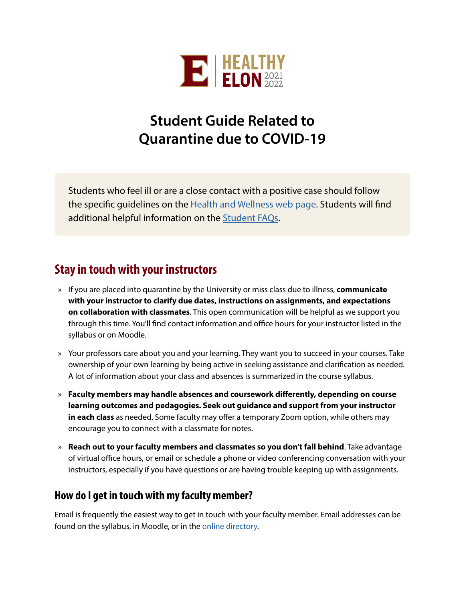

# **Student Guide Related to Quarantine due to COVID-19**

Students who feel ill or are a close contact with a positive case should follow the specific guidelines on the [Health and Wellness web page](https://www.elon.edu/u/healthy-elon/health-wellness/). Students will find additional helpful information on the [Student FAQs](https://www.elon.edu/u/healthy-elon/frequently-asked-questions/students-faqs/).

### **Stay in touch with your instructors**

- » If you are placed into quarantine by the University or miss class due to illness, **communicate with your instructor to clarify due dates, instructions on assignments, and expectations on collaboration with classmates**. This open communication will be helpful as we support you through this time. You'll find contact information and office hours for your instructor listed in the syllabus or on Moodle.
- » Your professors care about you and your learning. They want you to succeed in your courses. Take ownership of your own learning by being active in seeking assistance and clarification as needed. A lot of information about your class and absences is summarized in the course syllabus.
- » **Faculty members may handle absences and coursework differently, depending on course learning outcomes and pedagogies. Seek out guidance and support from your instructor in each class** as needed. Some faculty may offer a temporary Zoom option, while others may encourage you to connect with a classmate for notes.
- » **Reach out to your faculty members and classmates so you don't fall behind**. Take advantage of virtual office hours, or email or schedule a phone or video conferencing conversation with your instructors, especially if you have questions or are having trouble keeping up with assignments.

#### **How do I get in touch with my faculty member?**

Email is frequently the easiest way to get in touch with your faculty member. Email addresses can be found on the syllabus, in Moodle, or in the [online directory.](https://www.elon.edu/directories/)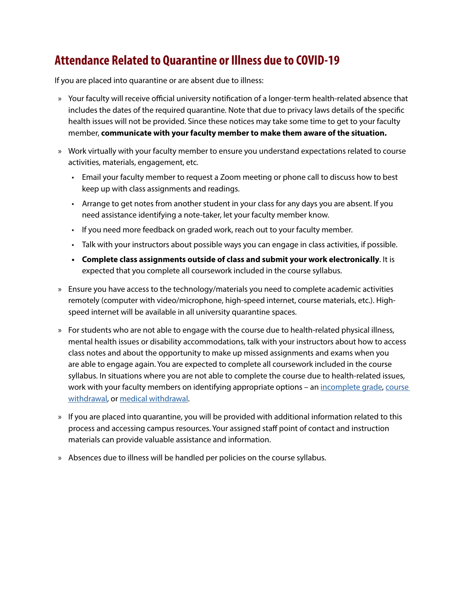## **Attendance Related to Quarantine or Illness due to COVID-19**

If you are placed into quarantine or are absent due to illness:

- » Your faculty will receive official university notification of a longer-term health-related absence that includes the dates of the required quarantine. Note that due to privacy laws details of the specific health issues will not be provided. Since these notices may take some time to get to your faculty member, **communicate with your faculty member to make them aware of the situation.**
- » Work virtually with your faculty member to ensure you understand expectations related to course activities, materials, engagement, etc.
	- Email your faculty member to request a Zoom meeting or phone call to discuss how to best keep up with class assignments and readings.
	- Arrange to get notes from another student in your class for any days you are absent. If you need assistance identifying a note-taker, let your faculty member know.
	- If you need more feedback on graded work, reach out to your faculty member.
	- Talk with your instructors about possible ways you can engage in class activities, if possible.
	- **• Complete class assignments outside of class and submit your work electronically**. It is expected that you complete all coursework included in the course syllabus.
- » Ensure you have access to the technology/materials you need to complete academic activities remotely (computer with video/microphone, high-speed internet, course materials, etc.). Highspeed internet will be available in all university quarantine spaces.
- » For students who are not able to engage with the course due to health-related physical illness, mental health issues or disability accommodations, talk with your instructors about how to access class notes and about the opportunity to make up missed assignments and exams when you are able to engage again. You are expected to complete all coursework included in the course syllabus. In situations where you are not able to complete the course due to health-related issues, work with your faculty members on identifying appropriate options - an [incomplete grade](https://elon.smartcatalogiq.com/current/Academic-Catalog/General-Academic-Regulations/Grades-and-Reports/Grades), course [withdrawal](https://www.elon.edu/u/registrar/student-resources/individual-course-withdrawal/), or [medical withdrawal.](https://www.elon.edu/u/administration/student-life/dean-of-students/medical-withdrawal/)
- » If you are placed into quarantine, you will be provided with additional information related to this process and accessing campus resources. Your assigned staff point of contact and instruction materials can provide valuable assistance and information.
- » Absences due to illness will be handled per policies on the course syllabus.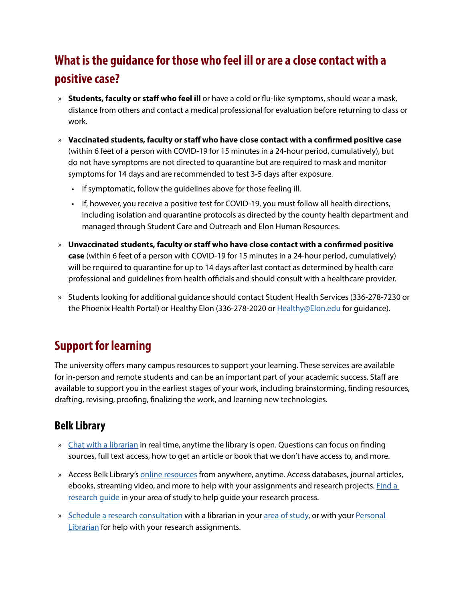# **What is the guidance for those who feel ill or are a close contact with a positive case?**

- » **Students, faculty or staff who feel ill** or have a cold or flu-like symptoms, should wear a mask, distance from others and contact a medical professional for evaluation before returning to class or work.
- » **Vaccinated students, faculty or staff who have close contact with a confirmed positive case** (within 6 feet of a person with COVID-19 for 15 minutes in a 24-hour period, cumulatively), but do not have symptoms are not directed to quarantine but are required to mask and monitor symptoms for 14 days and are recommended to test 3-5 days after exposure.
	- If symptomatic, follow the guidelines above for those feeling ill.
	- If, however, you receive a positive test for COVID-19, you must follow all health directions, including isolation and quarantine protocols as directed by the county health department and managed through Student Care and Outreach and Elon Human Resources.
- » **Unvaccinated students, faculty or staff who have close contact with a confirmed positive case** (within 6 feet of a person with COVID-19 for 15 minutes in a 24-hour period, cumulatively) will be required to quarantine for up to 14 days after last contact as determined by health care professional and guidelines from health officials and should consult with a healthcare provider.
- » Students looking for additional guidance should contact Student Health Services (336-278-7230 or the Phoenix Health Portal) or Healthy Elon (336-278-2020 or [Healthy@Elon.edu](mailto:Healthy%40Elon.edu?subject=) for guidance).

# **Support for learning**

The university offers many campus resources to support your learning. These services are available for in-person and remote students and can be an important part of your academic success. Staff are available to support you in the earliest stages of your work, including brainstorming, finding resources, drafting, revising, proofing, finalizing the work, and learning new technologies.

### **Belk Library**

- » [Chat with a librarian](https://elon.libguides.com/Belk_Off-Campus#s-lg-box-23555208) in real time, anytime the library is open. Questions can focus on finding sources, full text access, how to get an article or book that we don't have access to, and more.
- » Access Belk Library's [online resources](https://elon.libguides.com/Belk_Off-Campus) from anywhere, anytime. Access databases, journal articles, ebooks, streaming video, and more to help with your assignments and research projects. [Find a](https://elon.libguides.com/)  research quide in your area of study to help quide your research process.
- » [Schedule a research consultation](https://elon.libcal.com/appointments/) with a librarian in your [area of study](https://www.elon.edu/u/library/services/liaison-program/), or with your [Personal](https://elon.libguides.com/pl)  **[Librarian](https://elon.libguides.com/pl)** for help with your research assignments.